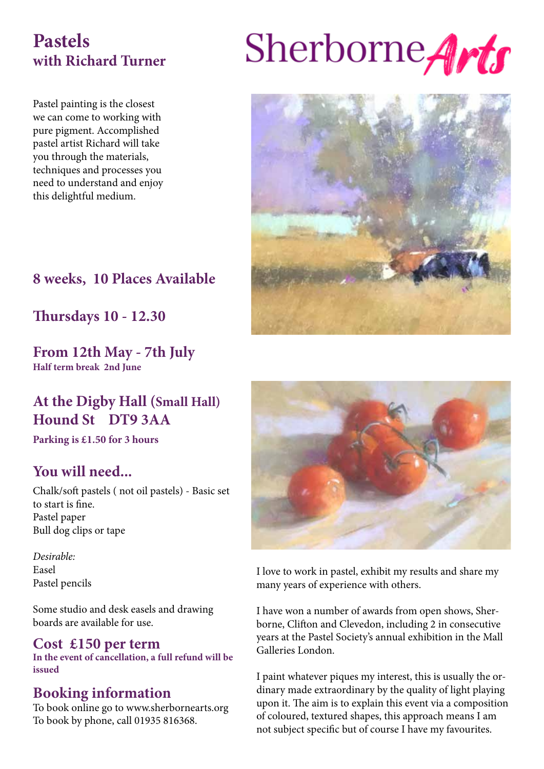# **Pastels with Richard Turner**

Pastel painting is the closest we can come to working with pure pigment. Accomplished pastel artist Richard will take you through the materials, techniques and processes you need to understand and enjoy this delightful medium.



Sherborne Arts

# **8 weeks, 10 Places Available**

**Thursdays 10 - 12.30**

**From 12th May - 7th July Half term break 2nd June**

# **At the Digby Hall (Small Hall) Hound St DT9 3AA**

**Parking is £1.50 for 3 hours**

# **You will need...**

Chalk/soft pastels ( not oil pastels) - Basic set to start is fine. Pastel paper Bull dog clips or tape

*Desirable:* Easel Pastel pencils

Some studio and desk easels and drawing boards are available for use.

## **Cost £150 per term**

**In the event of cancellation, a full refund will be issued**

# **Booking information**

To book online go to www.sherbornearts.org To book by phone, call 01935 816368.



I love to work in pastel, exhibit my results and share my many years of experience with others.

I have won a number of awards from open shows, Sherborne, Clifton and Clevedon, including 2 in consecutive years at the Pastel Society's annual exhibition in the Mall Galleries London.

I paint whatever piques my interest, this is usually the ordinary made extraordinary by the quality of light playing upon it. The aim is to explain this event via a composition of coloured, textured shapes, this approach means I am not subject specific but of course I have my favourites.